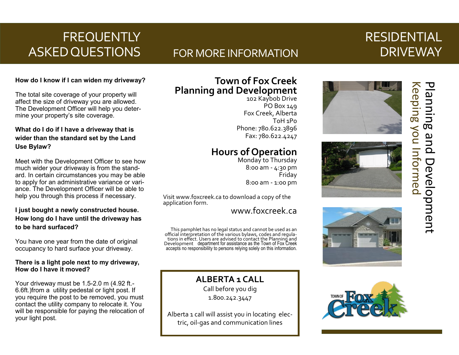# **FREQUENTLY** ASKED QUESTIONS

## FOR MORE INFORMATION

# RESIDENTIAL DRIVEWAY

#### **How do I know if I can widen my driveway?**

The total site coverage of your property will affect the size of driveway you are allowed. The Development Officer will help you determine your property's site coverage.

#### **What do I do if I have a driveway that is wider than the standard set by the Land Use Bylaw?**

Meet with the Development Officer to see how much wider your driveway is from the standard. In certain circumstances you may be able to apply for an administrative variance or variance. The Development Officer will be able to help you through this process if necessary.

#### **I just bought a newly constructed house. How long do I have until the driveway has to be hard surfaced?**

You have one year from the date of original occupancy to hard surface your driveway.

#### **There is a light pole next to my driveway, How do I have it moved?**

Your driveway must be 1.5-2.0 m (4.92 ft.- 6.6ft.)from a utility pedestal or light post. If you require the post to be removed, you must contact the utility company to relocate it. You will be responsible for paying the relocation of your light post.

### **Town of Fox Creek Planning and Development**

102 Kaybob Drive PO Box 149 Fox Creek, Alberta T0H 1P0 Phone: 780.622.3896 Fax: 780.622.4247

## **Hours of Operation**

Monday to Thursday 8:00 am - 4:30 pm Friday 8:00 am - 1:00 pm

Visit www.foxcreek.ca to download a copy of the application form.

www.foxcreek.ca

This pamphlet has no legal status and cannot be used as an official interpretation of the various bylaws, codes and regulations in effect. Users are advised to contact the Planning and Development department for assistance as the Town of Fox Creek accepts no responsibility to persons relying solely on this information.

#### **ALBERTA 1 CALL**

Call before you dig 1.800.242.3447

Alberta 1 call will assist you in locating electric, oil-gas and communication lines









I

# Keeping you Informed Planning and Development **Keeping you Informed** Planning and Development